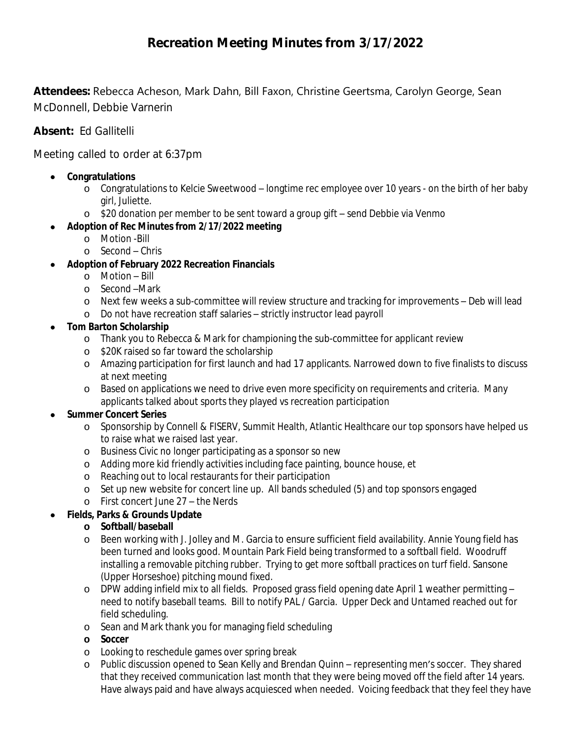# **Recreation Meeting Minutes from 3/17/2022**

**Attendees:** Rebecca Acheson, Mark Dahn, Bill Faxon, Christine Geertsma, Carolyn George, Sean McDonnell, Debbie Varnerin

**Absent:** Ed Gallitelli

Meeting called to order at 6:37pm

- **Congratulations**
	- o Congratulations to Kelcie Sweetwood longtime rec employee over 10 years on the birth of her baby girl, Juliette.
	- o \$20 donation per member to be sent toward a group gift send Debbie via Venmo
	- **Adoption of Rec Minutes from 2/17/2022 meeting**
		- o Motion -Bill
		- o Second Chris
- **Adoption of February 2022 Recreation Financials**
	- o Motion Bill
	- o Second –Mark
	- o Next few weeks a sub-committee will review structure and tracking for improvements Deb will lead
	- o Do not have recreation staff salaries strictly instructor lead payroll
- **Tom Barton Scholarship**
	- o Thank you to Rebecca & Mark for championing the sub-committee for applicant review
	- o \$20K raised so far toward the scholarship
	- o Amazing participation for first launch and had 17 applicants. Narrowed down to five finalists to discuss at next meeting
	- o Based on applications we need to drive even more specificity on requirements and criteria. Many applicants talked about sports they played vs recreation participation

#### **Summer Concert Series**

- o Sponsorship by Connell & FISERV, Summit Health, Atlantic Healthcare our top sponsors have helped us to raise what we raised last year.
- o Business Civic no longer participating as a sponsor so new
- o Adding more kid friendly activities including face painting, bounce house, et
- o Reaching out to local restaurants for their participation
- o Set up new website for concert line up. All bands scheduled (5) and top sponsors engaged
- o First concert June 27 the Nerds

# **Fields, Parks & Grounds Update**

- **o Softball/baseball**
- o Been working with J. Jolley and M. Garcia to ensure sufficient field availability. Annie Young field has been turned and looks good. Mountain Park Field being transformed to a softball field. Woodruff installing a removable pitching rubber. Trying to get more softball practices on turf field. Sansone (Upper Horseshoe) pitching mound fixed.
- o DPW adding infield mix to all fields. Proposed grass field opening date April 1 weather permitting need to notify baseball teams. Bill to notify PAL / Garcia. Upper Deck and Untamed reached out for field scheduling.
- o Sean and Mark thank you for managing field scheduling
- **o Soccer**
- o Looking to reschedule games over spring break
- o Public discussion opened to Sean Kelly and Brendan Quinn representing men's soccer. They shared that they received communication last month that they were being moved off the field after 14 years. Have always paid and have always acquiesced when needed. Voicing feedback that they feel they have